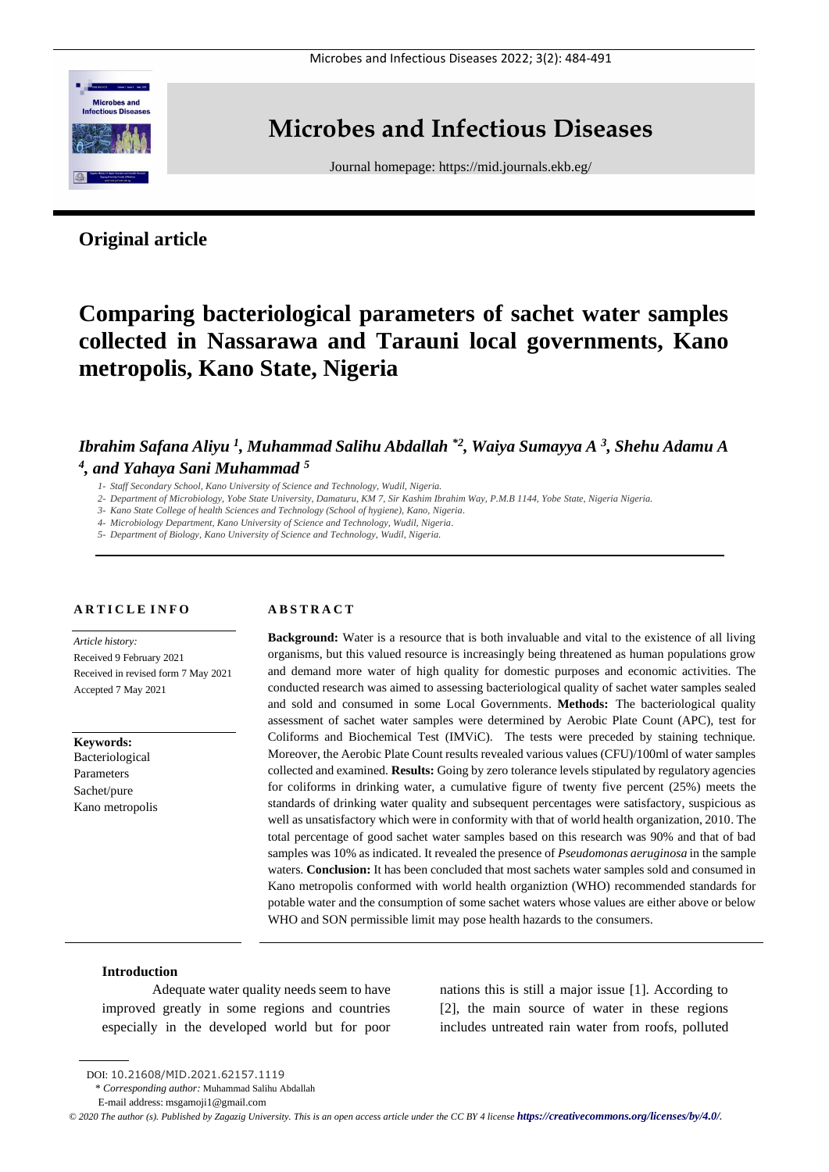

# **Microbes and Infectious Diseases**

Journal homepage:<https://mid.journals.ekb.eg/>

# **Original article**

# **Comparing bacteriological parameters of sachet water samples collected in Nassarawa and Tarauni local governments, Kano metropolis, Kano State, Nigeria**

# *Ibrahim Safana Aliyu <sup>1</sup> , Muhammad Salihu Abdallah \*2 , Waiya Sumayya A <sup>3</sup> , Shehu Adamu A 4 , and Yahaya Sani Muhammad <sup>5</sup>*

- *1- Staff Secondary School, Kano University of Science and Technology, Wudil, Nigeria.*
- *2- Department of Microbiology, Yobe State University, Damaturu, KM 7, Sir Kashim Ibrahim Way, P.M.B 1144, Yobe State, Nigeria Nigeria.*
- *3- Kano State College of health Sciences and Technology (School of hygiene), Kano, Nigeria.*
- *4- Microbiology Department, Kano University of Science and Technology, Wudil, Nigeria.*
- *5- Department of Biology, Kano University of Science and Technology, Wudil, Nigeria.*

#### **A R T I C L E I N F O**

*Article history:*  Received 9 February 2021 Received in revised form 7 May 2021 Accepted 7 May 2021

**Keywords:** Bacteriological Parameters Sachet/pure Kano metropolis

#### **A B S T R A C T**

**Background:** Water is a resource that is both invaluable and vital to the existence of all living organisms, but this valued resource is increasingly being threatened as human populations grow and demand more water of high quality for domestic purposes and economic activities. The conducted research was aimed to assessing bacteriological quality of sachet water samples sealed and sold and consumed in some Local Governments. **Methods:** The bacteriological quality assessment of sachet water samples were determined by Aerobic Plate Count (APC), test for Coliforms and Biochemical Test (IMViC). The tests were preceded by staining technique. Moreover, the Aerobic Plate Count results revealed various values (CFU)/100ml of water samples collected and examined. **Results:** Going by zero tolerance levels stipulated by regulatory agencies for coliforms in drinking water, a cumulative figure of twenty five percent (25%) meets the standards of drinking water quality and subsequent percentages were satisfactory, suspicious as well as unsatisfactory which were in conformity with that of world health organization, 2010. The total percentage of good sachet water samples based on this research was 90% and that of bad samples was 10% as indicated. It revealed the presence of *Pseudomonas aeruginosa* in the sample waters. **Conclusion:** It has been concluded that most sachets water samples sold and consumed in Kano metropolis conformed with world health organiztion (WHO) recommended standards for potable water and the consumption of some sachet waters whose values are either above or below WHO and SON permissible limit may pose health hazards to the consumers.

### **Introduction**

Adequate water quality needs seem to have improved greatly in some regions and countries especially in the developed world but for poor

nations this is still a major issue [1]. According to [2], the main source of water in these regions includes untreated rain water from roofs, polluted

DOI: 10.21608/MID.2021.62157.1119

<sup>\*</sup> *Corresponding author:* Muhammad Salihu Abdallah

E-mail address: msgamoji1@gmail.com

*<sup>©</sup> 2020 The author (s). Published by Zagazig University. This is an open access article under the CC BY 4 license <https://creativecommons.org/licenses/by/4.0/>.*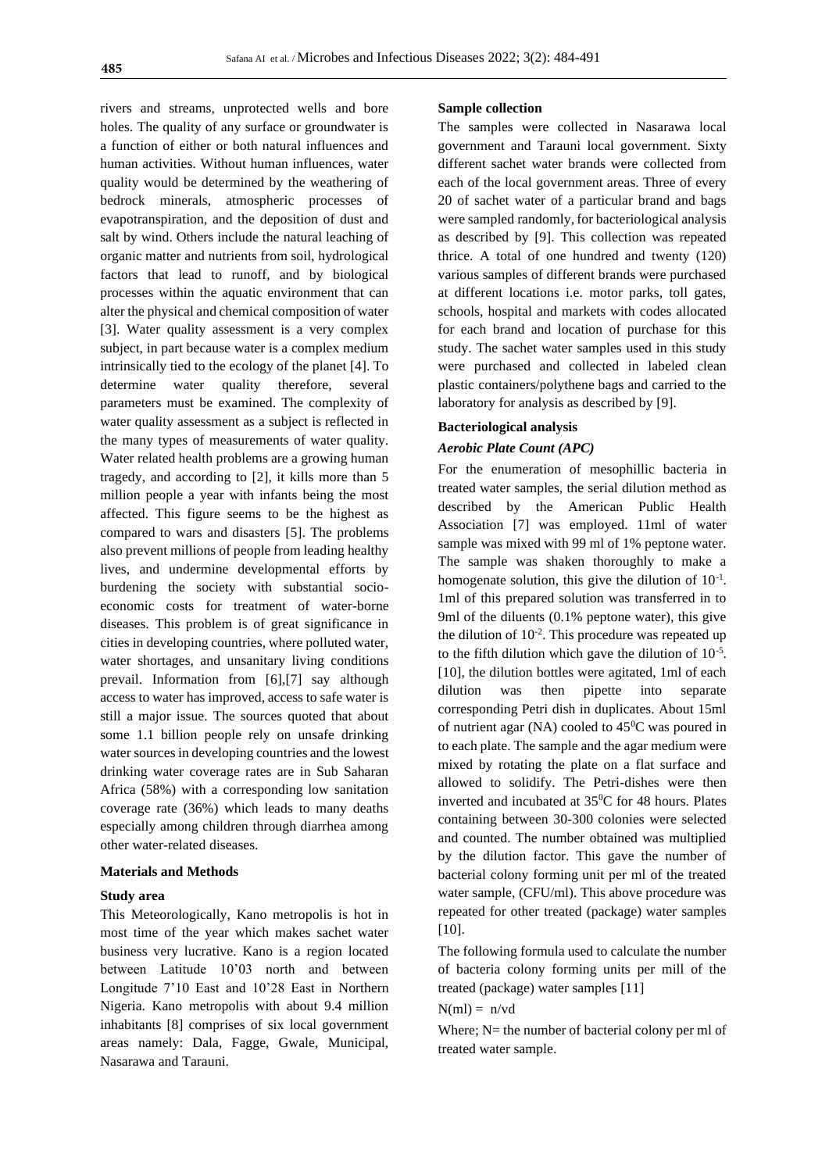rivers and streams, unprotected wells and bore holes. The quality of any surface or groundwater is a function of either or both natural influences and human activities. Without human influences, water quality would be determined by the weathering of bedrock minerals, atmospheric processes of evapotranspiration, and the deposition of dust and salt by wind. Others include the natural leaching of organic matter and nutrients from soil, hydrological factors that lead to runoff, and by biological processes within the aquatic environment that can alter the physical and chemical composition of water [3]. Water quality assessment is a very complex subject, in part because water is a complex medium intrinsically tied to the ecology of the planet [4]. To determine water quality therefore, several parameters must be examined. The complexity of water quality assessment as a subject is reflected in the many types of measurements of water quality. Water related health problems are a growing human tragedy, and according to [2], it kills more than 5 million people a year with infants being the most affected. This figure seems to be the highest as compared to wars and disasters [5]. The problems also prevent millions of people from leading healthy lives, and undermine developmental efforts by burdening the society with substantial socioeconomic costs for treatment of water-borne diseases. This problem is of great significance in cities in developing countries, where polluted water, water shortages, and unsanitary living conditions prevail. Information from [6],[7] say although access to water has improved, access to safe water is still a major issue. The sources quoted that about some 1.1 billion people rely on unsafe drinking water sources in developing countries and the lowest drinking water coverage rates are in Sub Saharan Africa (58%) with a corresponding low sanitation coverage rate (36%) which leads to many deaths especially among children through diarrhea among other water-related diseases.

#### **Materials and Methods**

#### **Study area**

This Meteorologically, Kano metropolis is hot in most time of the year which makes sachet water business very lucrative. Kano is a region located between Latitude 10'03 north and between Longitude 7'10 East and 10'28 East in Northern Nigeria. Kano metropolis with about 9.4 million inhabitants [8] comprises of six local government areas namely: Dala, Fagge, Gwale, Municipal, Nasarawa and Tarauni.

## **Sample collection**

The samples were collected in Nasarawa local government and Tarauni local government. Sixty different sachet water brands were collected from each of the local government areas. Three of every 20 of sachet water of a particular brand and bags were sampled randomly, for bacteriological analysis as described by [9]. This collection was repeated thrice. A total of one hundred and twenty (120) various samples of different brands were purchased at different locations i.e. motor parks, toll gates, schools, hospital and markets with codes allocated for each brand and location of purchase for this study. The sachet water samples used in this study were purchased and collected in labeled clean plastic containers/polythene bags and carried to the laboratory for analysis as described by [9].

#### **Bacteriological analysis**

## *Aerobic Plate Count (APC)*

For the enumeration of mesophillic bacteria in treated water samples, the serial dilution method as described by the American Public Health Association [7] was employed. 11ml of water sample was mixed with 99 ml of 1% peptone water. The sample was shaken thoroughly to make a homogenate solution, this give the dilution of  $10^{-1}$ . 1ml of this prepared solution was transferred in to 9ml of the diluents (0.1% peptone water), this give the dilution of  $10^{-2}$ . This procedure was repeated up to the fifth dilution which gave the dilution of  $10^{-5}$ . [10], the dilution bottles were agitated, 1ml of each dilution was then pipette into separate corresponding Petri dish in duplicates. About 15ml of nutrient agar (NA) cooled to  $45^{\circ}$ C was poured in to each plate. The sample and the agar medium were mixed by rotating the plate on a flat surface and allowed to solidify. The Petri-dishes were then inverted and incubated at 35<sup>0</sup>C for 48 hours. Plates containing between 30-300 colonies were selected and counted. The number obtained was multiplied by the dilution factor. This gave the number of bacterial colony forming unit per ml of the treated water sample, (CFU/ml). This above procedure was repeated for other treated (package) water samples [10].

The following formula used to calculate the number of bacteria colony forming units per mill of the treated (package) water samples [11]

 $N(ml) = n/vd$ 

Where;  $N=$  the number of bacterial colony per ml of treated water sample.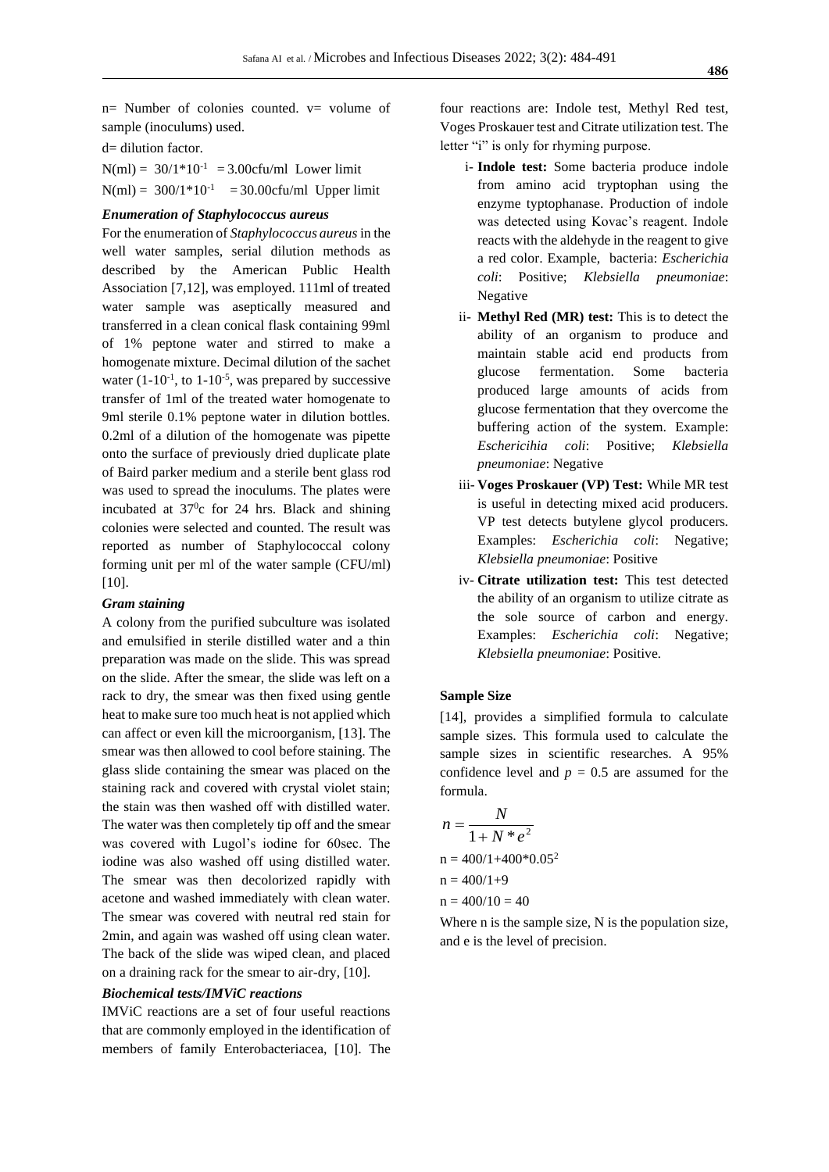$n=$  Number of colonies counted.  $v=$  volume of sample (inoculums) used.

d= dilution factor.

 $N(ml) = 30/1*10^{-1} = 3.00cftu/ml$  Lower limit  $N(ml) = 300/1*10^{-1} = 30.00cfu/ml$  Upper limit

## *Enumeration of Staphylococcus aureus*

For the enumeration of *Staphylococcus aureus* in the well water samples, serial dilution methods as described by the American Public Health Association [7,12], was employed. 111ml of treated water sample was aseptically measured and transferred in a clean conical flask containing 99ml of 1% peptone water and stirred to make a homogenate mixture. Decimal dilution of the sachet water  $(1-10^{-1}$ , to  $1-10^{-5}$ , was prepared by successive transfer of 1ml of the treated water homogenate to 9ml sterile 0.1% peptone water in dilution bottles. 0.2ml of a dilution of the homogenate was pipette onto the surface of previously dried duplicate plate of Baird parker medium and a sterile bent glass rod was used to spread the inoculums. The plates were incubated at  $37^\circ$ c for 24 hrs. Black and shining colonies were selected and counted. The result was reported as number of Staphylococcal colony forming unit per ml of the water sample (CFU/ml)  $[10]$ .

### *Gram staining*

A colony from the purified subculture was isolated and emulsified in sterile distilled water and a thin preparation was made on the slide. This was spread on the slide. After the smear, the slide was left on a rack to dry, the smear was then fixed using gentle heat to make sure too much heat is not applied which can affect or even kill the microorganism, [13]. The smear was then allowed to cool before staining. The glass slide containing the smear was placed on the staining rack and covered with crystal violet stain; the stain was then washed off with distilled water. The water was then completely tip off and the smear was covered with Lugol's iodine for 60sec. The iodine was also washed off using distilled water. The smear was then decolorized rapidly with acetone and washed immediately with clean water. The smear was covered with neutral red stain for 2min, and again was washed off using clean water. The back of the slide was wiped clean, and placed on a draining rack for the smear to air-dry, [10].

#### *Biochemical tests/IMViC reactions*

IMViC reactions are a set of four useful reactions that are commonly employed in the identification of members of family Enterobacteriacea, [10]. The four reactions are: Indole test, Methyl Red test, Voges Proskauer test and Citrate utilization test. The letter "i" is only for rhyming purpose.

- i- **Indole test:** Some bacteria produce indole from amino acid tryptophan using the enzyme typtophanase. Production of indole was detected using Kovac's reagent. Indole reacts with the aldehyde in the reagent to give a red color. Example, bacteria: *Escherichia coli*: Positive; *Klebsiella pneumoniae*: Negative
- ii- **Methyl Red (MR) test:** This is to detect the ability of an organism to produce and maintain stable acid end products from glucose fermentation. Some bacteria produced large amounts of acids from glucose fermentation that they overcome the buffering action of the system. Example: *Eschericihia coli*: Positive; *Klebsiella pneumoniae*: Negative
- iii- **Voges Proskauer (VP) Test:** While MR test is useful in detecting mixed acid producers. VP test detects butylene glycol producers. Examples: *Escherichia coli*: Negative; *Klebsiella pneumoniae*: Positive
- iv- **Citrate utilization test:** This test detected the ability of an organism to utilize citrate as the sole source of carbon and energy. Examples: *Escherichia coli*: Negative; *Klebsiella pneumoniae*: Positive*.*

#### **Sample Size**

[14], provides a simplified formula to calculate sample sizes. This formula used to calculate the sample sizes in scientific researches. A 95% confidence level and  $p = 0.5$  are assumed for the formula.

$$
n = \frac{N}{1 + N * e^{2}}
$$
  
n = 400/1+400\*0.05<sup>2</sup>  
n = 400/1+9  
n = 400/10 = 40

Where n is the sample size. N is the population size, and e is the level of precision.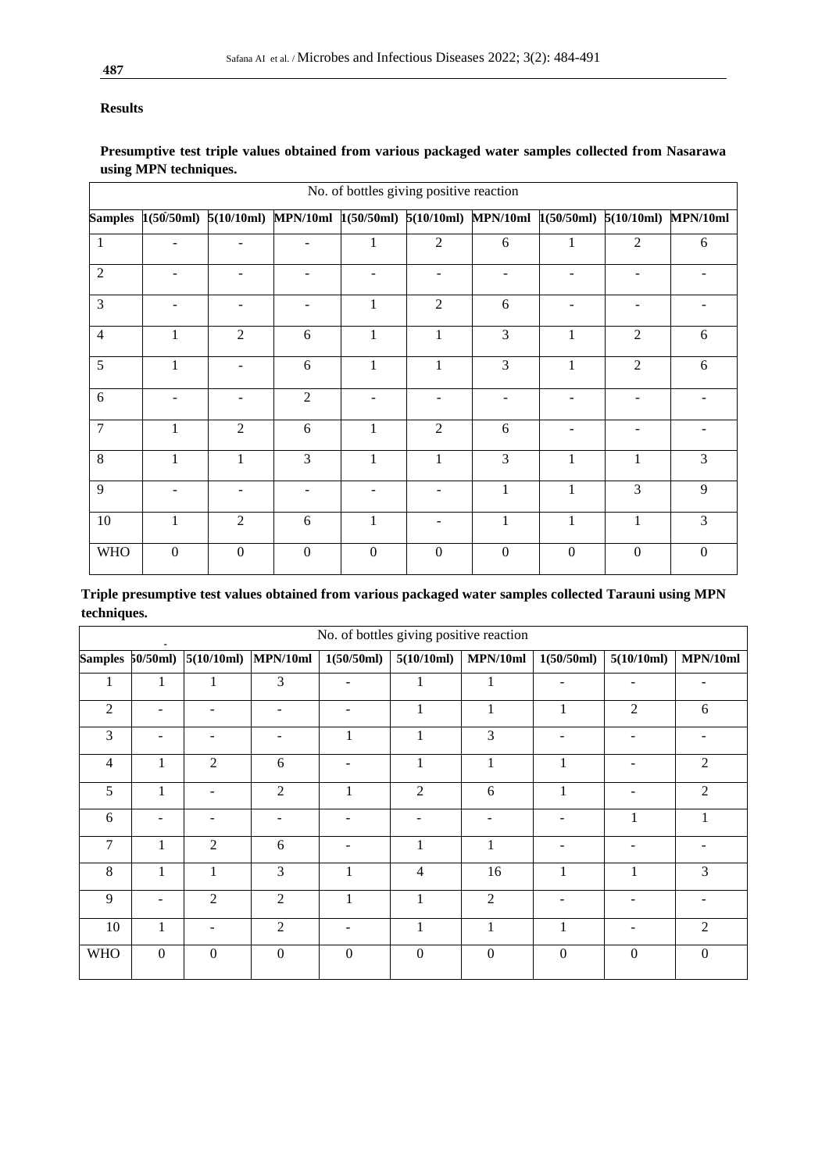# **Results**

# **Presumptive test triple values obtained from various packaged water samples collected from Nasarawa using MPN techniques.**

| No. of bottles giving positive reaction |              |                  |                                                                                             |                |                          |                  |                  |                  |                |
|-----------------------------------------|--------------|------------------|---------------------------------------------------------------------------------------------|----------------|--------------------------|------------------|------------------|------------------|----------------|
|                                         |              |                  | Samples 1(50/50ml) 5(10/10ml) MPN/10ml 1(50/50ml) 5(10/10ml) MPN/10ml 1(50/50ml) 5(10/10ml) |                |                          |                  |                  |                  | MPN/10ml       |
| $\mathbf{1}$                            |              |                  |                                                                                             |                | $\overline{2}$           | 6                |                  | 2                | 6              |
| $\overline{2}$                          |              |                  |                                                                                             |                | $\overline{a}$           |                  |                  |                  |                |
| 3                                       |              |                  |                                                                                             |                | $\overline{2}$           | 6                |                  |                  |                |
| $\overline{4}$                          | 1            | $\overline{2}$   | 6                                                                                           |                | 1                        | 3                | 1                | $\overline{2}$   | 6              |
| 5                                       | 1            |                  | 6                                                                                           | 1              | 1                        | 3                | 1                | $\overline{2}$   | 6              |
| 6                                       |              |                  | $\overline{2}$                                                                              |                |                          |                  |                  |                  |                |
| $\overline{7}$                          | 1            | $\overline{2}$   | 6                                                                                           | 1              | $\overline{2}$           | 6                |                  |                  |                |
| 8                                       | 1            | 1                | $\overline{3}$                                                                              | 1              | 1                        | 3                | $\mathbf{1}$     | 1                | $\mathcal{F}$  |
| 9                                       | ٠            | $\blacksquare$   | ٠                                                                                           | $\sim$         | $\sim$                   | 1                | $\mathbf{1}$     | 3                | 9              |
| 10                                      | 1            | $\overline{2}$   | 6                                                                                           |                | $\overline{\phantom{a}}$ | 1                | $\mathbf{1}$     | $\mathbf{1}$     | $\overline{3}$ |
| <b>WHO</b>                              | $\mathbf{0}$ | $\boldsymbol{0}$ | $\overline{0}$                                                                              | $\overline{0}$ | $\boldsymbol{0}$         | $\boldsymbol{0}$ | $\boldsymbol{0}$ | $\boldsymbol{0}$ | $\theta$       |

| Triple presumptive test values obtained from various packaged water samples collected Tarauni using MPN |  |  |  |
|---------------------------------------------------------------------------------------------------------|--|--|--|
| techniques.                                                                                             |  |  |  |

|                | No. of bottles giving positive reaction |                |                  |                         |                  |                  |                |                |                  |  |
|----------------|-----------------------------------------|----------------|------------------|-------------------------|------------------|------------------|----------------|----------------|------------------|--|
|                | Samples 50/50ml)                        | 5(10/10ml)     |                  | $MPN/10ml$ $1(50/50ml)$ | 5(10/10ml)       | MPN/10ml         | 1(50/50ml)     | 5(10/10ml)     | MPN/10ml         |  |
| 1              | 1                                       |                | 3                |                         |                  | 1                |                |                |                  |  |
| $\overline{2}$ |                                         |                | ۰                |                         |                  |                  |                | 2              | 6                |  |
| 3              |                                         |                |                  | 1                       | 1                | 3                |                |                |                  |  |
| $\overline{4}$ | 1                                       | $\overline{2}$ | 6                |                         |                  | 1                |                |                | $\mathfrak{2}$   |  |
| 5              | 1                                       |                | $\overline{2}$   | 1                       | 2                | 6                | 1              |                | $\overline{2}$   |  |
| 6              |                                         |                |                  |                         |                  |                  |                | 1              | 1                |  |
| $\overline{7}$ | 1                                       | $\overline{2}$ | 6                |                         | 1                | 1                |                |                |                  |  |
| 8              | $\mathbf{1}$                            | 1              | 3                | 1                       | $\overline{4}$   | 16               | 1              | 1              | 3                |  |
| 9              |                                         | $\overline{2}$ | $\overline{2}$   |                         | 1                | $\overline{2}$   |                |                |                  |  |
| 10             | 1                                       |                | $\overline{2}$   |                         |                  | 1                | 1              |                | $\overline{2}$   |  |
| <b>WHO</b>     | $\mathbf{0}$                            | $\mathbf{0}$   | $\boldsymbol{0}$ | $\boldsymbol{0}$        | $\boldsymbol{0}$ | $\boldsymbol{0}$ | $\overline{0}$ | $\overline{0}$ | $\boldsymbol{0}$ |  |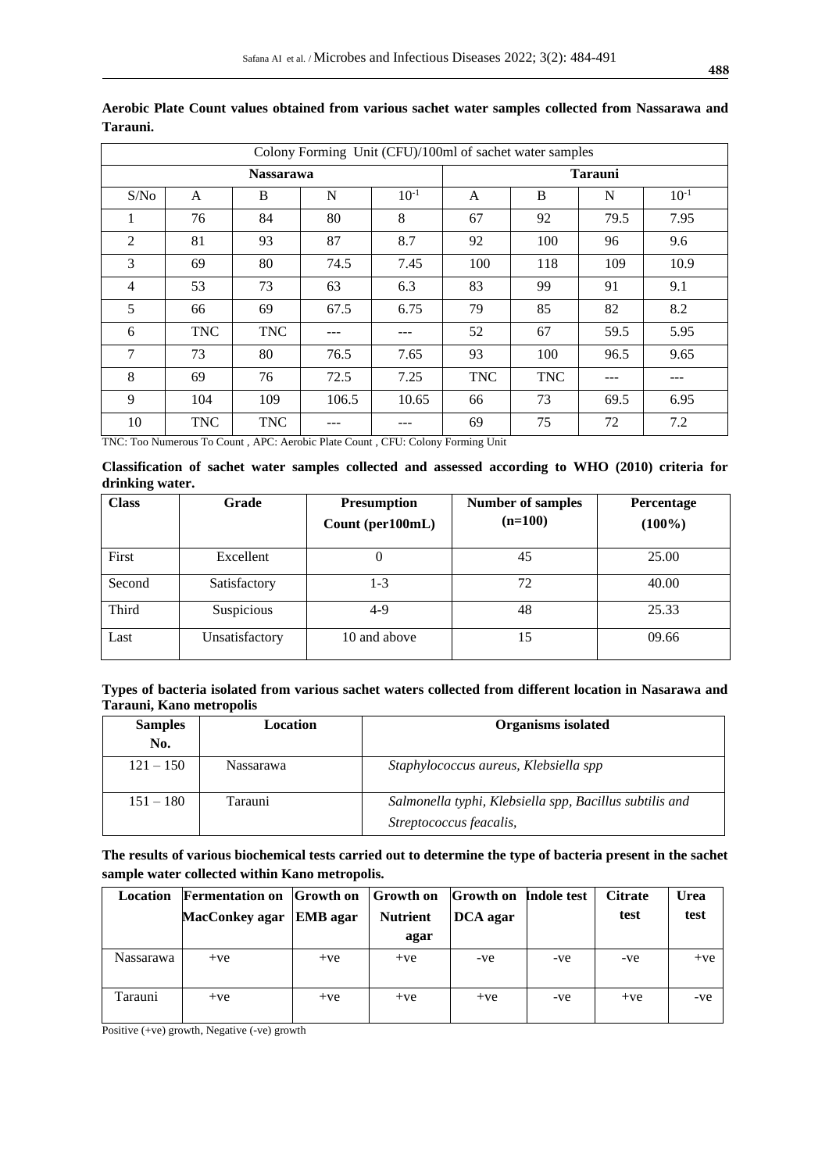| Colony Forming Unit (CFU)/100ml of sachet water samples |            |                  |       |           |                |            |      |           |
|---------------------------------------------------------|------------|------------------|-------|-----------|----------------|------------|------|-----------|
|                                                         |            | <b>Nassarawa</b> |       |           | <b>Tarauni</b> |            |      |           |
| S/No                                                    | A          | B                | N     | $10^{-1}$ | A              | B          | N    | $10^{-1}$ |
| 1                                                       | 76         | 84               | 80    | 8         | 67             | 92         | 79.5 | 7.95      |
| 2                                                       | 81         | 93               | 87    | 8.7       | 92             | 100        | 96   | 9.6       |
| 3                                                       | 69         | 80               | 74.5  | 7.45      | 100            | 118        | 109  | 10.9      |
| $\overline{4}$                                          | 53         | 73               | 63    | 6.3       | 83             | 99         | 91   | 9.1       |
| 5                                                       | 66         | 69               | 67.5  | 6.75      | 79             | 85         | 82   | 8.2       |
| 6                                                       | <b>TNC</b> | <b>TNC</b>       | ---   | ---       | 52             | 67         | 59.5 | 5.95      |
| $\tau$                                                  | 73         | 80               | 76.5  | 7.65      | 93             | 100        | 96.5 | 9.65      |
| 8                                                       | 69         | 76               | 72.5  | 7.25      | <b>TNC</b>     | <b>TNC</b> | ---  | ---       |
| 9                                                       | 104        | 109              | 106.5 | 10.65     | 66             | 73         | 69.5 | 6.95      |
| 10                                                      | <b>TNC</b> | <b>TNC</b>       |       |           | 69             | 75         | 72   | 7.2       |

**Aerobic Plate Count values obtained from various sachet water samples collected from Nassarawa and Tarauni.**

TNC: Too Numerous To Count , APC: Aerobic Plate Count , CFU: Colony Forming Unit

**Classification of sachet water samples collected and assessed according to WHO (2010) criteria for drinking water.**

| <b>Class</b> | Grade          | <b>Presumption</b><br>Count (per100mL) | <b>Number of samples</b><br>$(n=100)$ | Percentage<br>$(100\%)$ |
|--------------|----------------|----------------------------------------|---------------------------------------|-------------------------|
| First        | Excellent      | O                                      | 45                                    | 25.00                   |
| Second       | Satisfactory   | 1-3                                    | 72                                    | 40.00                   |
| Third        | Suspicious     | $4-9$                                  | 48                                    | 25.33                   |
| Last         | Unsatisfactory | 10 and above                           |                                       | 09.66                   |

**Types of bacteria isolated from various sachet waters collected from different location in Nasarawa and Tarauni, Kano metropolis** 

| <b>Samples</b> | Location         | <b>Organisms</b> isolated                               |
|----------------|------------------|---------------------------------------------------------|
| No.            |                  |                                                         |
| $121 - 150$    | <b>Nassarawa</b> | Staphylococcus aureus, Klebsiella spp                   |
| $151 - 180$    | Tarauni          | Salmonella typhi, Klebsiella spp, Bacillus subtilis and |
|                |                  | Streptococcus feacalis,                                 |

**The results of various biochemical tests carried out to determine the type of bacteria present in the sachet sample water collected within Kano metropolis.** 

| Location  | <b>Fermentation on Growth on</b> |       | <b>Growth</b> on | <b>Growth</b> on | Indole test | <b>Citrate</b> | <b>Urea</b> |
|-----------|----------------------------------|-------|------------------|------------------|-------------|----------------|-------------|
|           | MacConkey agar EMB agar          |       | <b>Nutrient</b>  | DCA agar         |             | test           | test        |
|           |                                  |       | agar             |                  |             |                |             |
| Nassarawa | $+ve$                            | $+ve$ | $+ve$            | -ve              | -ve         | -ve            | $+ve$       |
| Tarauni   | $+ve$                            | $+ve$ | $+ve$            | $+ve$            | -ve         | $+ve$          | -ve         |

Positive (+ve) growth, Negative (-ve) growth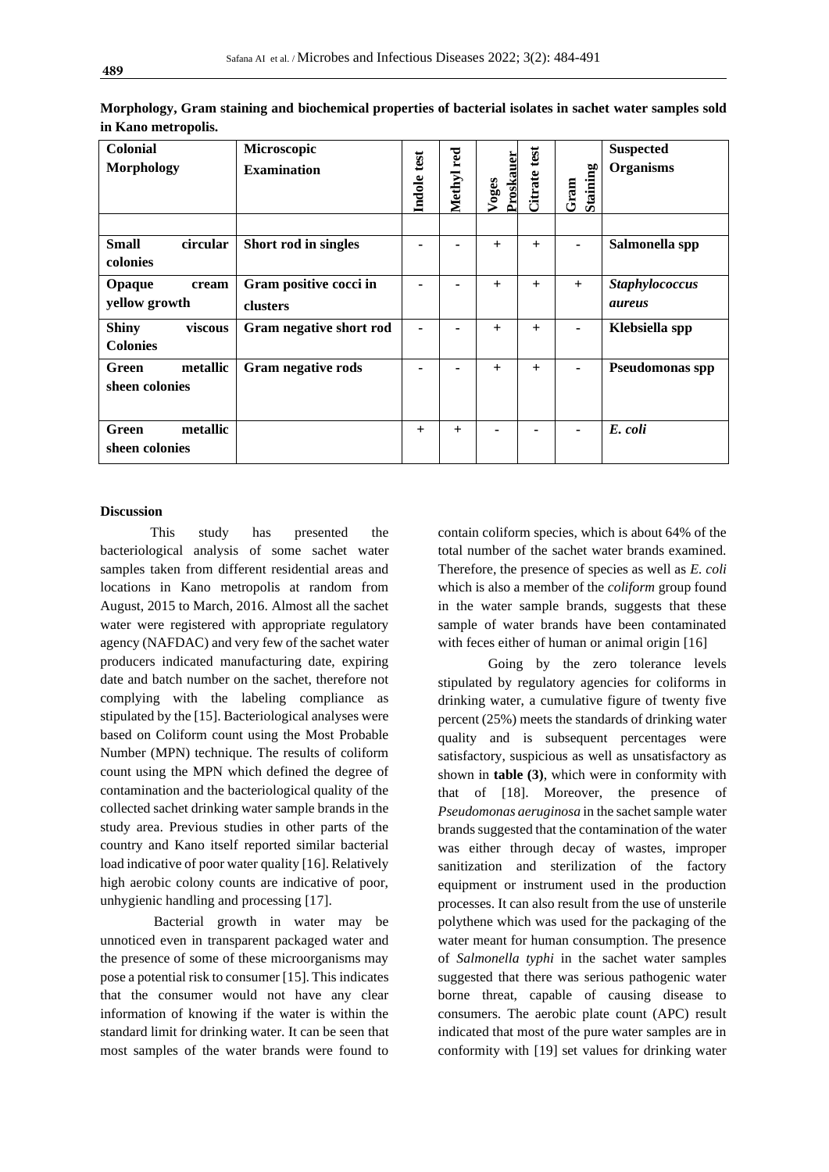| <b>Colonial</b><br><b>Morphology</b>       | Microscopic<br><b>Examination</b>  | Indole test | Methyl red | Proskauer<br>Voges | Citrate test | Staining<br>Gram | <b>Suspected</b><br><b>Organisms</b> |
|--------------------------------------------|------------------------------------|-------------|------------|--------------------|--------------|------------------|--------------------------------------|
| <b>Small</b><br>circular<br>colonies       | Short rod in singles               |             |            | $+$                | $+$          |                  | Salmonella spp                       |
| Opaque<br>cream<br>yellow growth           | Gram positive cocci in<br>clusters |             |            | $^{+}$             | $+$          | $+$              | Staphylococcus<br><i>aureus</i>      |
| <b>Shiny</b><br>viscous<br><b>Colonies</b> | Gram negative short rod            |             |            | $+$                | $+$          |                  | Klebsiella spp                       |
| metallic<br>Green<br>sheen colonies        | Gram negative rods                 | -           |            | $+$                | $^{+}$       |                  | <b>Pseudomonas spp</b>               |
| metallic<br>Green<br>sheen colonies        |                                    | $^{+}$      | $+$        | ٠                  |              |                  | E. coli                              |

**Morphology, Gram staining and biochemical properties of bacterial isolates in sachet water samples sold in Kano metropolis.** 

## **Discussion**

This study has presented the bacteriological analysis of some sachet water samples taken from different residential areas and locations in Kano metropolis at random from August, 2015 to March, 2016. Almost all the sachet water were registered with appropriate regulatory agency (NAFDAC) and very few of the sachet water producers indicated manufacturing date, expiring date and batch number on the sachet, therefore not complying with the labeling compliance as stipulated by the [15]. Bacteriological analyses were based on Coliform count using the Most Probable Number (MPN) technique. The results of coliform count using the MPN which defined the degree of contamination and the bacteriological quality of the collected sachet drinking water sample brands in the study area. Previous studies in other parts of the country and Kano itself reported similar bacterial load indicative of poor water quality [16]. Relatively high aerobic colony counts are indicative of poor, unhygienic handling and processing [17].

Bacterial growth in water may be unnoticed even in transparent packaged water and the presence of some of these microorganisms may pose a potential risk to consumer [15]. This indicates that the consumer would not have any clear information of knowing if the water is within the standard limit for drinking water. It can be seen that most samples of the water brands were found to

contain coliform species, which is about 64% of the total number of the sachet water brands examined. Therefore, the presence of species as well as *E. coli*  which is also a member of the *coliform* group found in the water sample brands, suggests that these sample of water brands have been contaminated with feces either of human or animal origin [16]

Going by the zero tolerance levels stipulated by regulatory agencies for coliforms in drinking water, a cumulative figure of twenty five percent (25%) meets the standards of drinking water quality and is subsequent percentages were satisfactory, suspicious as well as unsatisfactory as shown in **table (3)**, which were in conformity with that of [18]. Moreover, the presence of *Pseudomonas aeruginosa* in the sachet sample water brands suggested that the contamination of the water was either through decay of wastes, improper sanitization and sterilization of the factory equipment or instrument used in the production processes. It can also result from the use of unsterile polythene which was used for the packaging of the water meant for human consumption. The presence of *Salmonella typhi* in the sachet water samples suggested that there was serious pathogenic water borne threat, capable of causing disease to consumers. The aerobic plate count (APC) result indicated that most of the pure water samples are in conformity with [19] set values for drinking water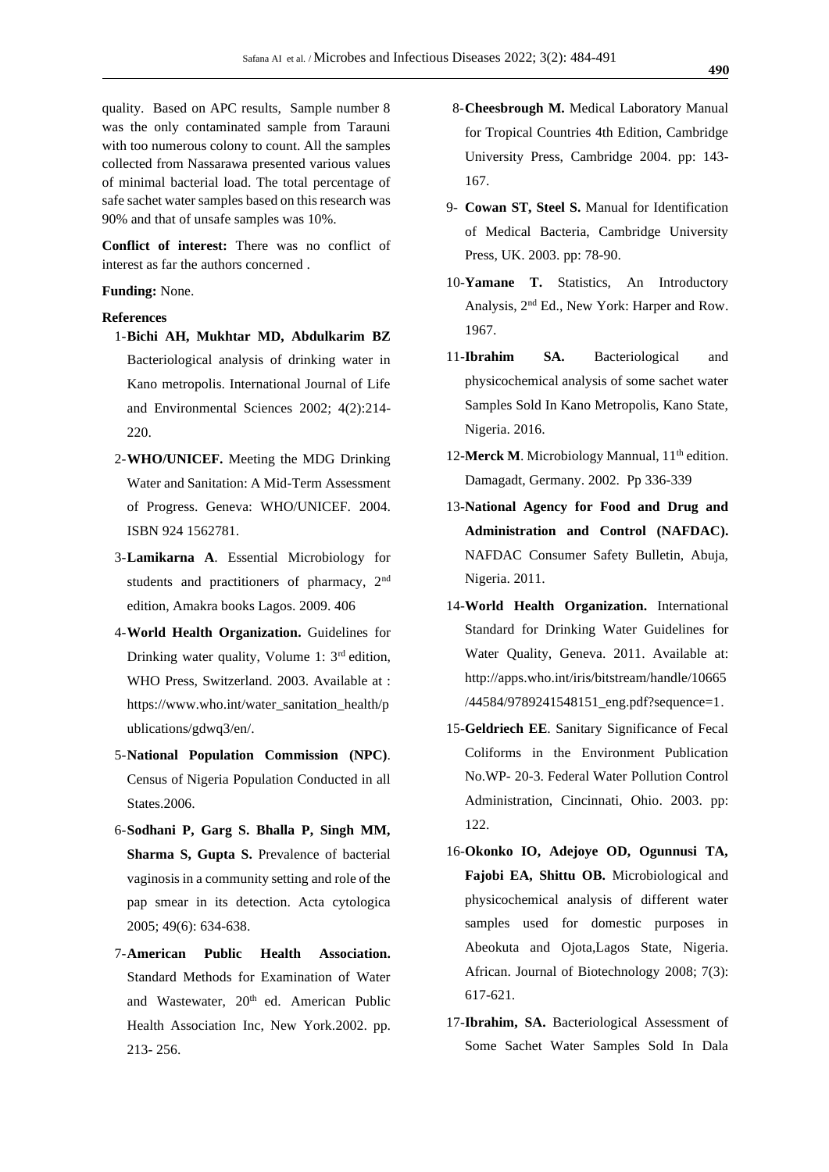quality. Based on APC results, Sample number 8 was the only contaminated sample from Tarauni with too numerous colony to count. All the samples collected from Nassarawa presented various values of minimal bacterial load. The total percentage of safe sachet water samples based on this research was 90% and that of unsafe samples was 10%.

**Conflict of interest:** There was no conflict of interest as far the authors concerned .

#### **Funding:** None.

## **References**

- 1-**Bichi AH, Mukhtar MD, Abdulkarim BZ** Bacteriological analysis of drinking water in Kano metropolis. International Journal of Life and Environmental Sciences 2002; 4(2):214- 220.
- 2-**WHO/UNICEF.** Meeting the MDG Drinking Water and Sanitation: A Mid-Term Assessment of Progress. Geneva: WHO/UNICEF. 2004. ISBN 924 1562781.
- 3-**Lamikarna A**. Essential Microbiology for students and practitioners of pharmacy, 2<sup>nd</sup> edition, Amakra books Lagos. 2009. 406
- 4-**World Health Organization.** Guidelines for Drinking water quality, Volume 1:  $3<sup>rd</sup>$  edition, WHO Press, Switzerland. 2003. Available at : [https://www.who.int/water\\_sanitation\\_health/p](https://www.who.int/water_sanitation_health/publications/gdwq3/en/) [ublications/gdwq3/en/.](https://www.who.int/water_sanitation_health/publications/gdwq3/en/)
- 5-**National Population Commission (NPC)**. Census of Nigeria Population Conducted in all States.2006.
- 6-**Sodhani P, Garg S. Bhalla P, Singh MM, Sharma S, Gupta S.** Prevalence of bacterial vaginosis in a community setting and role of the pap smear in its detection. Acta cytologica 2005; 49(6): 634-638.
- 7-**American Public Health Association.** Standard Methods for Examination of Water and Wastewater, 20<sup>th</sup> ed. American Public Health Association Inc, New York.2002. pp. 213- 256.
- 8-**Cheesbrough M.** Medical Laboratory Manual for Tropical Countries 4th Edition, Cambridge University Press, Cambridge 2004. pp: 143- 167.
- 9- **Cowan ST, Steel S.** Manual for Identification of Medical Bacteria, Cambridge University Press, UK. 2003. pp: 78-90.
- 10-**Yamane T.** Statistics, An Introductory Analysis, 2nd Ed., New York: Harper and Row. 1967.
- 11-**Ibrahim SA.** Bacteriological and physicochemical analysis of some sachet water Samples Sold In Kano Metropolis, Kano State, Nigeria. 2016.
- 12-**Merck M**. Microbiology Mannual, 11<sup>th</sup> edition. Damagadt, Germany. 2002. Pp 336-339
- 13-**National Agency for Food and Drug and Administration and Control (NAFDAC).**  NAFDAC Consumer Safety Bulletin, Abuja, Nigeria. 2011.
- 14-**World Health Organization.** International Standard for Drinking Water Guidelines for Water Quality, Geneva. 2011. Available at: http://apps.who.int/iris/bitstream/handle/10665 /44584/9789241548151\_eng.pdf?sequence=1.
- 15-**Geldriech EE**. Sanitary Significance of Fecal Coliforms in the Environment Publication No.WP- 20-3. Federal Water Pollution Control Administration, Cincinnati, Ohio. 2003. pp: 122.
- 16-**Okonko IO, Adejoye OD, Ogunnusi TA, Fajobi EA, Shittu OB.** Microbiological and physicochemical analysis of different water samples used for domestic purposes in Abeokuta and Ojota,Lagos State, Nigeria. African. Journal of Biotechnology 2008; 7(3): 617-621.
- 17-**Ibrahim, SA.** Bacteriological Assessment of Some Sachet Water Samples Sold In Dala